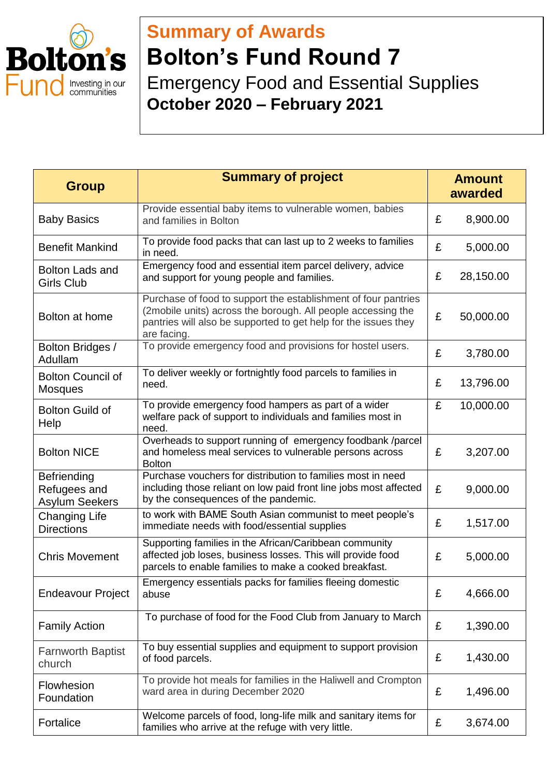

## **Summary of Awards Bolton's Fund Round 7** Emergency Food and Essential Supplies **October 2020 – February 2021**

| <b>Group</b>                                                | <b>Summary of project</b>                                                                                                                                                                                        | <b>Amount</b><br>awarded |           |
|-------------------------------------------------------------|------------------------------------------------------------------------------------------------------------------------------------------------------------------------------------------------------------------|--------------------------|-----------|
| <b>Baby Basics</b>                                          | Provide essential baby items to vulnerable women, babies<br>and families in Bolton                                                                                                                               | £                        | 8,900.00  |
| <b>Benefit Mankind</b>                                      | To provide food packs that can last up to 2 weeks to families<br>in need.                                                                                                                                        | £                        | 5,000.00  |
| <b>Bolton Lads and</b><br><b>Girls Club</b>                 | Emergency food and essential item parcel delivery, advice<br>and support for young people and families.                                                                                                          | £                        | 28,150.00 |
| Bolton at home                                              | Purchase of food to support the establishment of four pantries<br>(2mobile units) across the borough. All people accessing the<br>pantries will also be supported to get help for the issues they<br>are facing. | £                        | 50,000.00 |
| Bolton Bridges /<br>Adullam                                 | To provide emergency food and provisions for hostel users.                                                                                                                                                       | £                        | 3,780.00  |
| <b>Bolton Council of</b><br><b>Mosques</b>                  | To deliver weekly or fortnightly food parcels to families in<br>need.                                                                                                                                            | £                        | 13,796.00 |
| <b>Bolton Guild of</b><br>Help                              | To provide emergency food hampers as part of a wider<br>welfare pack of support to individuals and families most in<br>need.                                                                                     | £                        | 10,000.00 |
| <b>Bolton NICE</b>                                          | Overheads to support running of emergency foodbank /parcel<br>and homeless meal services to vulnerable persons across<br><b>Bolton</b>                                                                           | £                        | 3,207.00  |
| <b>Befriending</b><br>Refugees and<br><b>Asylum Seekers</b> | Purchase vouchers for distribution to families most in need<br>including those reliant on low paid front line jobs most affected<br>by the consequences of the pandemic.                                         | £                        | 9,000.00  |
| <b>Changing Life</b><br><b>Directions</b>                   | to work with BAME South Asian communist to meet people's<br>immediate needs with food/essential supplies                                                                                                         | £                        | 1,517.00  |
| <b>Chris Movement</b>                                       | Supporting families in the African/Caribbean community<br>affected job loses, business losses. This will provide food<br>parcels to enable families to make a cooked breakfast.                                  | £                        | 5,000.00  |
| <b>Endeavour Project</b>                                    | Emergency essentials packs for families fleeing domestic<br>abuse                                                                                                                                                | £                        | 4,666.00  |
| <b>Family Action</b>                                        | To purchase of food for the Food Club from January to March                                                                                                                                                      | £                        | 1,390.00  |
| <b>Farnworth Baptist</b><br>church                          | To buy essential supplies and equipment to support provision<br>of food parcels.                                                                                                                                 | £                        | 1,430.00  |
| Flowhesion<br>Foundation                                    | To provide hot meals for families in the Haliwell and Crompton<br>ward area in during December 2020                                                                                                              | £                        | 1,496.00  |
| Fortalice                                                   | Welcome parcels of food, long-life milk and sanitary items for<br>families who arrive at the refuge with very little.                                                                                            | £                        | 3,674.00  |